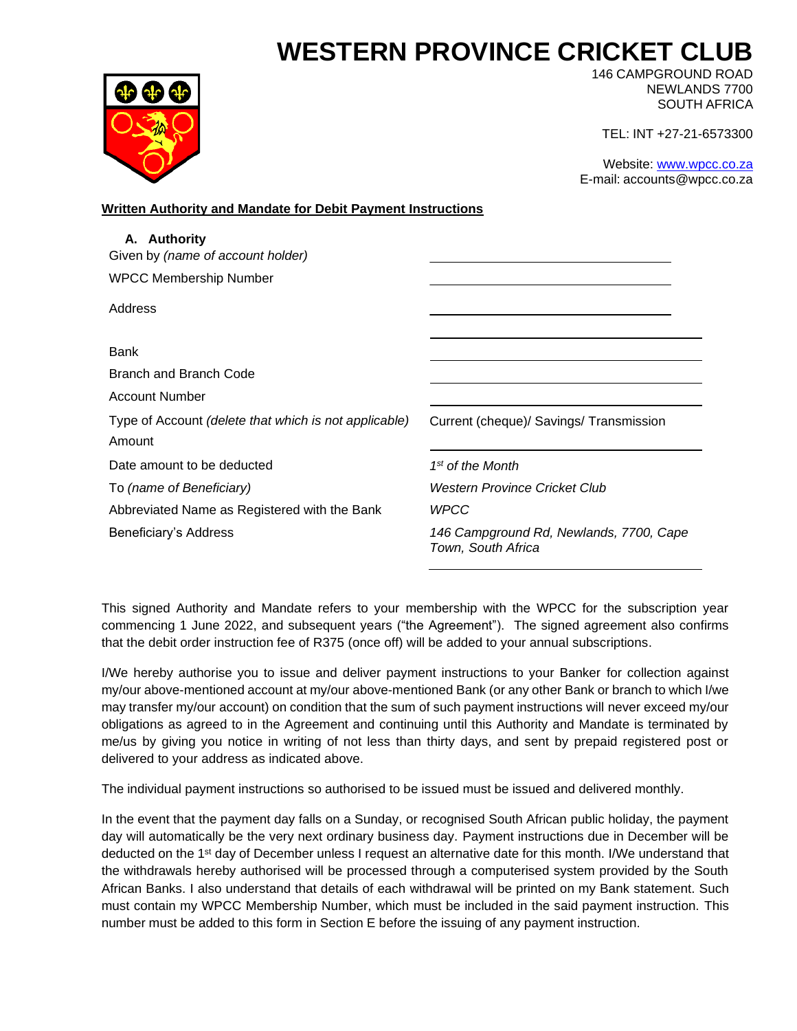# **WESTERN PROVINCE CRICKET CLUB**



146 CAMPGROUND ROAD NEWLANDS 7700 SOUTH AFRICA

TEL: INT +27-21-6573300

Website[: www.wpcc.co.za](http://www.wpcc.co.za/) E-mail: [accounts@wpcc.co.za](mailto:accounts@wpcc.co.za)

### **Written Authority and Mandate for Debit Payment Instructions**

| A. Authority<br>Given by (name of account holder)               |                                                               |
|-----------------------------------------------------------------|---------------------------------------------------------------|
| <b>WPCC Membership Number</b>                                   |                                                               |
| Address                                                         |                                                               |
| <b>Bank</b>                                                     |                                                               |
| Branch and Branch Code                                          |                                                               |
| <b>Account Number</b>                                           |                                                               |
| Type of Account (delete that which is not applicable)<br>Amount | Current (cheque)/ Savings/ Transmission                       |
| Date amount to be deducted                                      | 1 <sup>st</sup> of the Month                                  |
| To (name of Beneficiary)                                        | Western Province Cricket Club                                 |
| Abbreviated Name as Registered with the Bank                    | <b>WPCC</b>                                                   |
| Beneficiary's Address                                           | 146 Campground Rd, Newlands, 7700, Cape<br>Town, South Africa |

This signed Authority and Mandate refers to your membership with the WPCC for the subscription year commencing 1 June 2022, and subsequent years ("the Agreement"). The signed agreement also confirms that the debit order instruction fee of R375 (once off) will be added to your annual subscriptions.

I/We hereby authorise you to issue and deliver payment instructions to your Banker for collection against my/our above-mentioned account at my/our above-mentioned Bank (or any other Bank or branch to which I/we may transfer my/our account) on condition that the sum of such payment instructions will never exceed my/our obligations as agreed to in the Agreement and continuing until this Authority and Mandate is terminated by me/us by giving you notice in writing of not less than thirty days, and sent by prepaid registered post or delivered to your address as indicated above.

The individual payment instructions so authorised to be issued must be issued and delivered monthly.

In the event that the payment day falls on a Sunday, or recognised South African public holiday, the payment day will automatically be the very next ordinary business day. Payment instructions due in December will be deducted on the 1<sup>st</sup> day of December unless I request an alternative date for this month. I/We understand that the withdrawals hereby authorised will be processed through a computerised system provided by the South African Banks. I also understand that details of each withdrawal will be printed on my Bank statement. Such must contain my WPCC Membership Number, which must be included in the said payment instruction. This number must be added to this form in Section E before the issuing of any payment instruction.